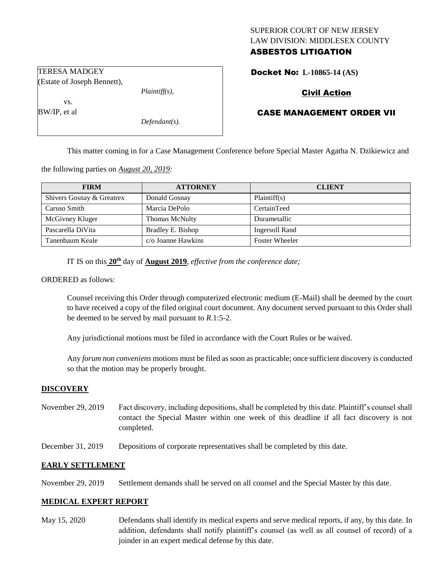# SUPERIOR COURT OF NEW JERSEY LAW DIVISION: MIDDLESEX COUNTY ASBESTOS LITIGATION

Docket No: **L-10865-14 (AS)** 

# Civil Action

# CASE MANAGEMENT ORDER VII

This matter coming in for a Case Management Conference before Special Master Agatha N. Dzikiewicz and

the following parties on *August 20, 2019:*

| <b>FIRM</b>               | <b>ATTORNEY</b>           | <b>CLIENT</b>         |
|---------------------------|---------------------------|-----------------------|
| Shivers Gosnay & Greatrex | Donald Gosnay             | Plaintiff(s)          |
| Caruso Smith              | Marcia DePolo             | CertainTeed           |
| McGivney Kluger           | Thomas McNulty            | Durametallic          |
| Pascarella DiVita         | Bradley E. Bishop         | Ingersoll Rand        |
| Tanenbaum Keale           | $c/\sigma$ Joanne Hawkins | <b>Foster Wheeler</b> |

IT IS on this  $20^{\text{th}}$  day of **August 2019**, *effective from the conference date*;

ORDERED as follows:

Counsel receiving this Order through computerized electronic medium (E-Mail) shall be deemed by the court to have received a copy of the filed original court document. Any document served pursuant to this Order shall be deemed to be served by mail pursuant to *R*.1:5-2.

Any jurisdictional motions must be filed in accordance with the Court Rules or be waived.

Any *forum non conveniens* motions must be filed as soon as practicable; once sufficient discovery is conducted so that the motion may be properly brought.

#### **DISCOVERY**

- November 29, 2019 Fact discovery, including depositions, shall be completed by this date. Plaintiff's counsel shall contact the Special Master within one week of this deadline if all fact discovery is not completed.
- December 31, 2019 Depositions of corporate representatives shall be completed by this date.

#### **EARLY SETTLEMENT**

November 29, 2019 Settlement demands shall be served on all counsel and the Special Master by this date.

# **MEDICAL EXPERT REPORT**

May 15, 2020 Defendants shall identify its medical experts and serve medical reports, if any, by this date. In addition, defendants shall notify plaintiff's counsel (as well as all counsel of record) of a joinder in an expert medical defense by this date.

TERESA MADGEY (Estate of Joseph Bennett),

vs.

BW/IP, et al

*Defendant(s).*

*Plaintiff(s),*